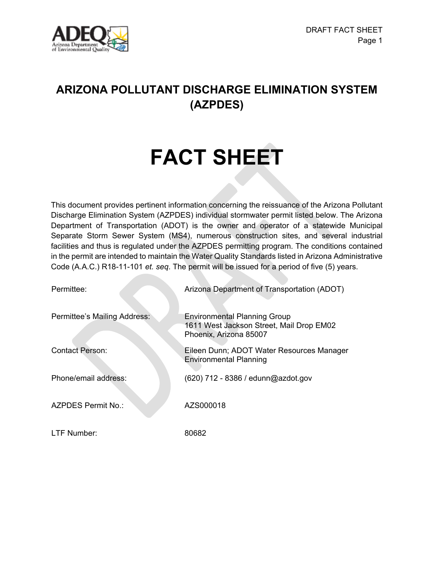

# **ARIZONA POLLUTANT DISCHARGE ELIMINATION SYSTEM (AZPDES)**

# **FACT SHEET**

This document provides pertinent information concerning the reissuance of the Arizona Pollutant Discharge Elimination System (AZPDES) individual stormwater permit listed below. The Arizona Department of Transportation (ADOT) is the owner and operator of a statewide Municipal Separate Storm Sewer System (MS4), numerous construction sites, and several industrial facilities and thus is regulated under the AZPDES permitting program. The conditions contained in the permit are intended to maintain the Water Quality Standards listed in Arizona Administrative Code (A.A.C.) R18-11-101 *et. seq*. The permit will be issued for a period of five (5) years.

| Permittee:                   | Arizona Department of Transportation (ADOT)                                                               |
|------------------------------|-----------------------------------------------------------------------------------------------------------|
| Permittee's Mailing Address: | <b>Environmental Planning Group</b><br>1611 West Jackson Street, Mail Drop EM02<br>Phoenix, Arizona 85007 |
| <b>Contact Person:</b>       | Eileen Dunn; ADOT Water Resources Manager<br><b>Environmental Planning</b>                                |
| Phone/email address:         | (620) 712 - 8386 / edunn@azdot.gov                                                                        |
| <b>AZPDES Permit No.:</b>    | AZS000018                                                                                                 |
| LTF Number:                  | 80682                                                                                                     |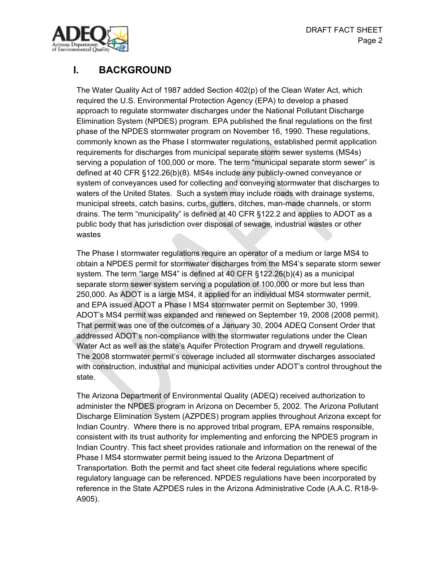

# **I. BACKGROUND**

The Water Quality Act of 1987 added Section 402(p) of the Clean Water Act, which required the U.S. Environmental Protection Agency (EPA) to develop a phased approach to regulate stormwater discharges under the National Pollutant Discharge Elimination System (NPDES) program. EPA published the final regulations on the first phase of the NPDES stormwater program on November 16, 1990. These regulations, commonly known as the Phase I stormwater regulations, established permit application requirements for discharges from municipal separate storm sewer systems (MS4s) serving a population of 100,000 or more. The term "municipal separate storm sewer" is defined at 40 CFR §122.26(b)(8). MS4s include any publicly-owned conveyance or system of conveyances used for collecting and conveying stormwater that discharges to waters of the United States. Such a system may include roads with drainage systems, municipal streets, catch basins, curbs, gutters, ditches, man-made channels, or storm drains. The term "municipality" is defined at 40 CFR §122.2 and applies to ADOT as a public body that has jurisdiction over disposal of sewage, industrial wastes or other wastes

The Phase I stormwater regulations require an operator of a medium or large MS4 to obtain a NPDES permit for stormwater discharges from the MS4's separate storm sewer system. The term "large MS4" is defined at 40 CFR §122.26(b)(4) as a municipal separate storm sewer system serving a population of 100,000 or more but less than 250,000. As ADOT is a large MS4, it applied for an individual MS4 stormwater permit, and EPA issued ADOT a Phase I MS4 stormwater permit on September 30, 1999. ADOT's MS4 permit was expanded and renewed on September 19, 2008 (2008 permit). That permit was one of the outcomes of a January 30, 2004 ADEQ Consent Order that addressed ADOT's non-compliance with the stormwater regulations under the Clean Water Act as well as the state's Aquifer Protection Program and drywell regulations. The 2008 stormwater permit's coverage included all stormwater discharges associated with construction, industrial and municipal activities under ADOT's control throughout the state.

The Arizona Department of Environmental Quality (ADEQ) received authorization to administer the NPDES program in Arizona on December 5, 2002. The Arizona Pollutant Discharge Elimination System (AZPDES) program applies throughout Arizona except for Indian Country. Where there is no approved tribal program, EPA remains responsible, consistent with its trust authority for implementing and enforcing the NPDES program in Indian Country. This fact sheet provides rationale and information on the renewal of the Phase I MS4 stormwater permit being issued to the Arizona Department of Transportation. Both the permit and fact sheet cite federal regulations where specific regulatory language can be referenced. NPDES regulations have been incorporated by reference in the State AZPDES rules in the Arizona Administrative Code (A.A.C. R18-9- A905).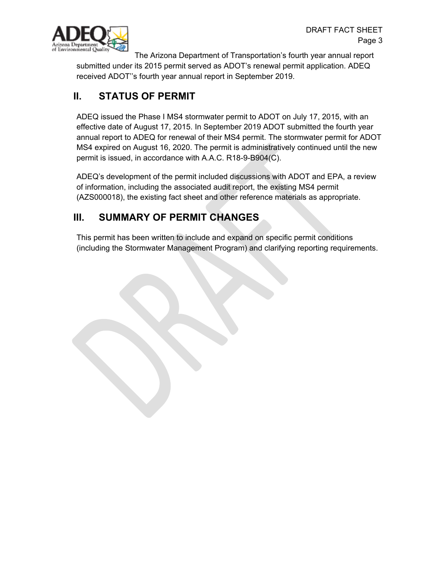

The Arizona Department of Transportation's fourth year annual report submitted under its 2015 permit served as ADOT's renewal permit application. ADEQ received ADOT''s fourth year annual report in September 2019.

# **II. STATUS OF PERMIT**

ADEQ issued the Phase I MS4 stormwater permit to ADOT on July 17, 2015, with an effective date of August 17, 2015. In September 2019 ADOT submitted the fourth year annual report to ADEQ for renewal of their MS4 permit. The stormwater permit for ADOT MS4 expired on August 16, 2020. The permit is administratively continued until the new permit is issued, in accordance with A.A.C. R18-9-B904(C).

ADEQ's development of the permit included discussions with ADOT and EPA, a review of information, including the associated audit report, the existing MS4 permit (AZS000018), the existing fact sheet and other reference materials as appropriate.

## **III. SUMMARY OF PERMIT CHANGES**

This permit has been written to include and expand on specific permit conditions (including the Stormwater Management Program) and clarifying reporting requirements.

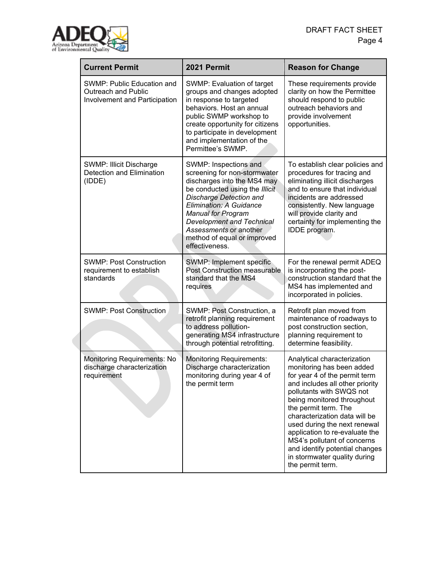

| <b>Current Permit</b>                                                                     | 2021 Permit                                                                                                                                                                                                                                                                                                                     | <b>Reason for Change</b>                                                                                                                                                                                                                                                                                                                                                                                                               |
|-------------------------------------------------------------------------------------------|---------------------------------------------------------------------------------------------------------------------------------------------------------------------------------------------------------------------------------------------------------------------------------------------------------------------------------|----------------------------------------------------------------------------------------------------------------------------------------------------------------------------------------------------------------------------------------------------------------------------------------------------------------------------------------------------------------------------------------------------------------------------------------|
| SWMP: Public Education and<br><b>Outreach and Public</b><br>Involvement and Participation | SWMP: Evaluation of target<br>groups and changes adopted<br>in response to targeted<br>behaviors. Host an annual<br>public SWMP workshop to<br>create opportunity for citizens<br>to participate in development<br>and implementation of the<br>Permittee's SWMP.                                                               | These requirements provide<br>clarity on how the Permittee<br>should respond to public<br>outreach behaviors and<br>provide involvement<br>opportunities.                                                                                                                                                                                                                                                                              |
| <b>SWMP: Illicit Discharge</b><br>Detection and Elimination<br>(IDDE)                     | SWMP: Inspections and<br>screening for non-stormwater<br>discharges into the MS4 may<br>be conducted using the Illicit<br><b>Discharge Detection and</b><br>Elimination: A Guidance<br><b>Manual for Program</b><br><b>Development and Technical</b><br>Assessments or another<br>method of equal or improved<br>effectiveness. | To establish clear policies and<br>procedures for tracing and<br>eliminating illicit discharges<br>and to ensure that individual<br>incidents are addressed<br>consistently. New language<br>will provide clarity and<br>certainty for implementing the<br>IDDE program.                                                                                                                                                               |
| <b>SWMP: Post Construction</b><br>requirement to establish<br>standards                   | <b>SWMP: Implement specific</b><br>Post Construction measurable<br>standard that the MS4<br>requires                                                                                                                                                                                                                            | For the renewal permit ADEQ<br>is incorporating the post-<br>construction standard that the<br>MS4 has implemented and<br>incorporated in policies.                                                                                                                                                                                                                                                                                    |
| <b>SWMP: Post Construction</b>                                                            | SWMP: Post Construction, a<br>retrofit planning requirement<br>to address pollution-<br>generating MS4 infrastructure<br>through potential retrofitting.                                                                                                                                                                        | Retrofit plan moved from<br>maintenance of roadways to<br>post construction section,<br>planning requirement to<br>determine feasibility.                                                                                                                                                                                                                                                                                              |
| Monitoring Requirements: No<br>discharge characterization<br>requirement                  | <b>Monitoring Requirements:</b><br>Discharge characterization<br>monitoring during year 4 of<br>the permit term                                                                                                                                                                                                                 | Analytical characterization<br>monitoring has been added<br>for year 4 of the permit term<br>and includes all other priority<br>pollutants with SWQS not<br>being monitored throughout<br>the permit term. The<br>characterization data will be<br>used during the next renewal<br>application to re-evaluate the<br>MS4's pollutant of concerns<br>and identify potential changes<br>in stormwater quality during<br>the permit term. |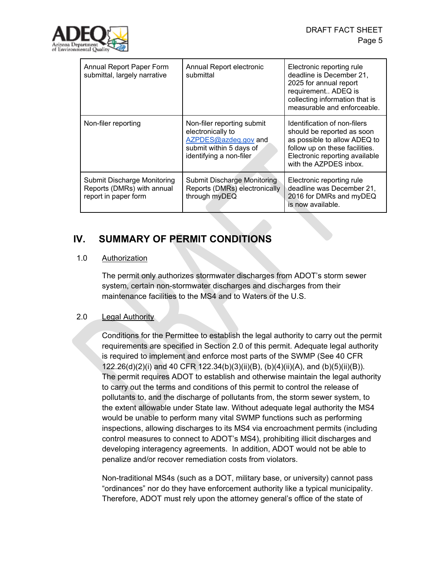

| Annual Report Paper Form<br>submittal, largely narrative                                 | Annual Report electronic<br>submittal                                                                                         | Electronic reporting rule<br>deadline is December 21,<br>2025 for annual report<br>requirement ADEQ is<br>collecting information that is<br>measurable and enforceable.                  |
|------------------------------------------------------------------------------------------|-------------------------------------------------------------------------------------------------------------------------------|------------------------------------------------------------------------------------------------------------------------------------------------------------------------------------------|
| Non-filer reporting                                                                      | Non-filer reporting submit<br>electronically to<br>AZPDES@azdeq.gov and<br>submit within 5 days of<br>identifying a non-filer | Identification of non-filers<br>should be reported as soon<br>as possible to allow ADEQ to<br>follow up on these facilities.<br>Electronic reporting available<br>with the AZPDES inbox. |
| <b>Submit Discharge Monitoring</b><br>Reports (DMRs) with annual<br>report in paper form | <b>Submit Discharge Monitoring</b><br>Reports (DMRs) electronically<br>through myDEQ                                          | Electronic reporting rule<br>deadline was December 21,<br>2016 for DMRs and myDEQ<br>is now available.                                                                                   |

# **IV. SUMMARY OF PERMIT CONDITIONS**

#### 1.0 Authorization

The permit only authorizes stormwater discharges from ADOT's storm sewer system, certain non-stormwater discharges and discharges from their maintenance facilities to the MS4 and to Waters of the U.S.

#### 2.0 Legal Authority

Conditions for the Permittee to establish the legal authority to carry out the permit requirements are specified in Section 2.0 of this permit. Adequate legal authority is required to implement and enforce most parts of the SWMP (See 40 CFR 122.26(d)(2)(i) and 40 CFR 122.34(b)(3)(ii)(B), (b)(4)(ii)(A), and (b)(5)(ii)(B)). The permit requires ADOT to establish and otherwise maintain the legal authority to carry out the terms and conditions of this permit to control the release of pollutants to, and the discharge of pollutants from, the storm sewer system, to the extent allowable under State law. Without adequate legal authority the MS4 would be unable to perform many vital SWMP functions such as performing inspections, allowing discharges to its MS4 via encroachment permits (including control measures to connect to ADOT's MS4), prohibiting illicit discharges and developing interagency agreements. In addition, ADOT would not be able to penalize and/or recover remediation costs from violators.

Non-traditional MS4s (such as a DOT, military base, or university) cannot pass "ordinances" nor do they have enforcement authority like a typical municipality. Therefore, ADOT must rely upon the attorney general's office of the state of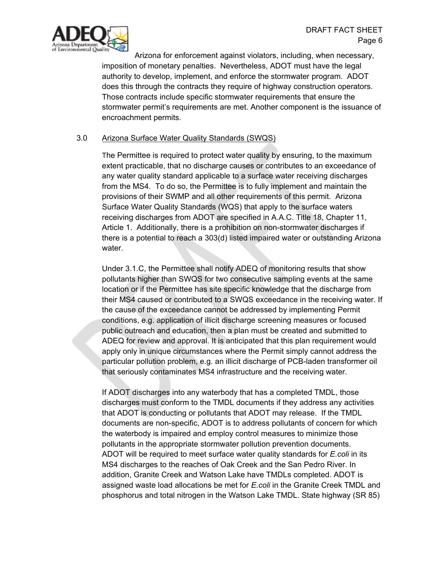

Arizona for enforcement against violators, including, when necessary, imposition of monetary penalties. Nevertheless, ADOT must have the legal authority to develop, implement, and enforce the stormwater program. ADOT does this through the contracts they require of highway construction operators. Those contracts include specific stormwater requirements that ensure the stormwater permit's requirements are met. Another component is the issuance of encroachment permits.

#### 3.0 Arizona Surface Water Quality Standards (SWQS)

The Permittee is required to protect water quality by ensuring, to the maximum extent practicable, that no discharge causes or contributes to an exceedance of any water quality standard applicable to a surface water receiving discharges from the MS4. To do so, the Permittee is to fully implement and maintain the provisions of their SWMP and all other requirements of this permit. Arizona Surface Water Quality Standards (WQS) that apply to the surface waters receiving discharges from ADOT are specified in A.A.C. Title 18, Chapter 11, Article 1. Additionally, there is a prohibition on non-stormwater discharges if there is a potential to reach a 303(d) listed impaired water or outstanding Arizona water.

Under 3.1.C, the Permittee shall notify ADEQ of monitoring results that show pollutants higher than SWQS for two consecutive sampling events at the same location or if the Permittee has site specific knowledge that the discharge from their MS4 caused or contributed to a SWQS exceedance in the receiving water. If the cause of the exceedance cannot be addressed by implementing Permit conditions, e.g. application of illicit discharge screening measures or focused public outreach and education, then a plan must be created and submitted to ADEQ for review and approval. It is anticipated that this plan requirement would apply only in unique circumstances where the Permit simply cannot address the particular pollution problem, e.g. an illicit discharge of PCB-laden transformer oil that seriously contaminates MS4 infrastructure and the receiving water.

If ADOT discharges into any waterbody that has a completed TMDL, those discharges must conform to the TMDL documents if they address any activities that ADOT is conducting or pollutants that ADOT may release. If the TMDL documents are non-specific, ADOT is to address pollutants of concern for which the waterbody is impaired and employ control measures to minimize those pollutants in the appropriate stormwater pollution prevention documents. ADOT will be required to meet surface water quality standards for *E.coli* in its MS4 discharges to the reaches of Oak Creek and the San Pedro River. In addition, Granite Creek and Watson Lake have TMDLs completed. ADOT is assigned waste load allocations be met for *E.coli* in the Granite Creek TMDL and phosphorus and total nitrogen in the Watson Lake TMDL. State highway (SR 85)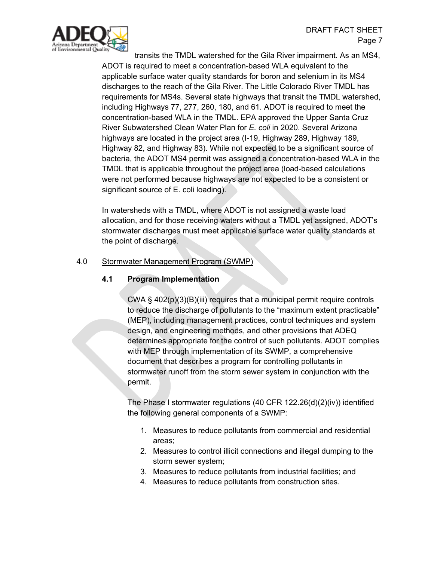

transits the TMDL watershed for the Gila River impairment. As an MS4, ADOT is required to meet a concentration-based WLA equivalent to the applicable surface water quality standards for boron and selenium in its MS4 discharges to the reach of the Gila River. The Little Colorado River TMDL has requirements for MS4s. Several state highways that transit the TMDL watershed, including Highways 77, 277, 260, 180, and 61. ADOT is required to meet the concentration-based WLA in the TMDL. EPA approved the Upper Santa Cruz River Subwatershed Clean Water Plan for *E. coli* in 2020. Several Arizona highways are located in the project area (I-19, Highway 289, Highway 189, Highway 82, and Highway 83). While not expected to be a significant source of bacteria, the ADOT MS4 permit was assigned a concentration-based WLA in the TMDL that is applicable throughout the project area (load-based calculations were not performed because highways are not expected to be a consistent or significant source of E. coli loading).

In watersheds with a TMDL, where ADOT is not assigned a waste load allocation, and for those receiving waters without a TMDL yet assigned, ADOT's stormwater discharges must meet applicable surface water quality standards at the point of discharge.

#### 4.0 Stormwater Management Program (SWMP)

#### **4.1 Program Implementation**

CWA § 402(p)(3)(B)(iii) requires that a municipal permit require controls to reduce the discharge of pollutants to the "maximum extent practicable" (MEP), including management practices, control techniques and system design, and engineering methods, and other provisions that ADEQ determines appropriate for the control of such pollutants. ADOT complies with MEP through implementation of its SWMP, a comprehensive document that describes a program for controlling pollutants in stormwater runoff from the storm sewer system in conjunction with the permit.

The Phase I stormwater regulations (40 CFR 122.26(d)(2)(iv)) identified the following general components of a SWMP:

- 1. Measures to reduce pollutants from commercial and residential areas;
- 2. Measures to control illicit connections and illegal dumping to the storm sewer system;
- 3. Measures to reduce pollutants from industrial facilities; and
- 4. Measures to reduce pollutants from construction sites.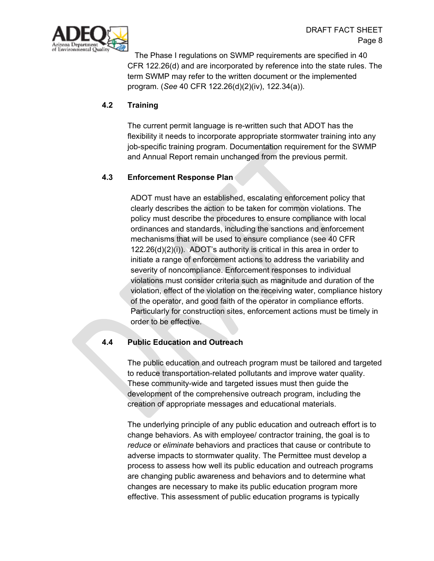

The Phase I regulations on SWMP requirements are specified in 40 CFR 122.26(d) and are incorporated by reference into the state rules. The term SWMP may refer to the written document or the implemented program. (*See* 40 CFR 122.26(d)(2)(iv), 122.34(a)).

#### **4.2 Training**

The current permit language is re-written such that ADOT has the flexibility it needs to incorporate appropriate stormwater training into any job-specific training program. Documentation requirement for the SWMP and Annual Report remain unchanged from the previous permit.

#### **4.3 Enforcement Response Plan**

ADOT must have an established, escalating enforcement policy that clearly describes the action to be taken for common violations. The policy must describe the procedures to ensure compliance with local ordinances and standards, including the sanctions and enforcement mechanisms that will be used to ensure compliance (see 40 CFR 122.26(d)(2)(i)). ADOT's authority is critical in this area in order to initiate a range of enforcement actions to address the variability and severity of noncompliance. Enforcement responses to individual violations must consider criteria such as magnitude and duration of the violation, effect of the violation on the receiving water, compliance history of the operator, and good faith of the operator in compliance efforts. Particularly for construction sites, enforcement actions must be timely in order to be effective.

#### **4.4 Public Education and Outreach**

The public education and outreach program must be tailored and targeted to reduce transportation-related pollutants and improve water quality. These community-wide and targeted issues must then guide the development of the comprehensive outreach program, including the creation of appropriate messages and educational materials.

The underlying principle of any public education and outreach effort is to change behaviors. As with employee/ contractor training, the goal is to *reduce* or *eliminate* behaviors and practices that cause or contribute to adverse impacts to stormwater quality. The Permittee must develop a process to assess how well its public education and outreach programs are changing public awareness and behaviors and to determine what changes are necessary to make its public education program more effective. This assessment of public education programs is typically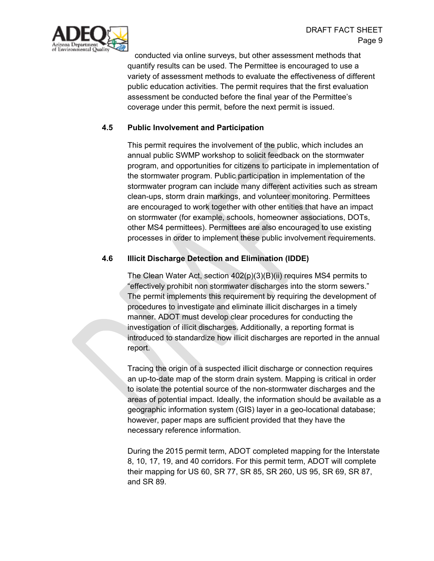

conducted via online surveys, but other assessment methods that quantify results can be used. The Permittee is encouraged to use a variety of assessment methods to evaluate the effectiveness of different public education activities. The permit requires that the first evaluation assessment be conducted before the final year of the Permittee's coverage under this permit, before the next permit is issued.

#### **4.5 Public Involvement and Participation**

This permit requires the involvement of the public, which includes an annual public SWMP workshop to solicit feedback on the stormwater program, and opportunities for citizens to participate in implementation of the stormwater program. Public participation in implementation of the stormwater program can include many different activities such as stream clean-ups, storm drain markings, and volunteer monitoring. Permittees are encouraged to work together with other entities that have an impact on stormwater (for example, schools, homeowner associations, DOTs, other MS4 permittees). Permittees are also encouraged to use existing processes in order to implement these public involvement requirements.

## **4.6 Illicit Discharge Detection and Elimination (IDDE)**

The Clean Water Act, section 402(p)(3)(B)(ii) requires MS4 permits to "effectively prohibit non stormwater discharges into the storm sewers." The permit implements this requirement by requiring the development of procedures to investigate and eliminate illicit discharges in a timely manner. ADOT must develop clear procedures for conducting the investigation of illicit discharges. Additionally, a reporting format is introduced to standardize how illicit discharges are reported in the annual report.

Tracing the origin of a suspected illicit discharge or connection requires an up-to-date map of the storm drain system. Mapping is critical in order to isolate the potential source of the non-stormwater discharges and the areas of potential impact. Ideally, the information should be available as a geographic information system (GIS) layer in a geo-locational database; however, paper maps are sufficient provided that they have the necessary reference information.

During the 2015 permit term, ADOT completed mapping for the Interstate 8, 10, 17, 19, and 40 corridors. For this permit term, ADOT will complete their mapping for US 60, SR 77, SR 85, SR 260, US 95, SR 69, SR 87, and SR 89.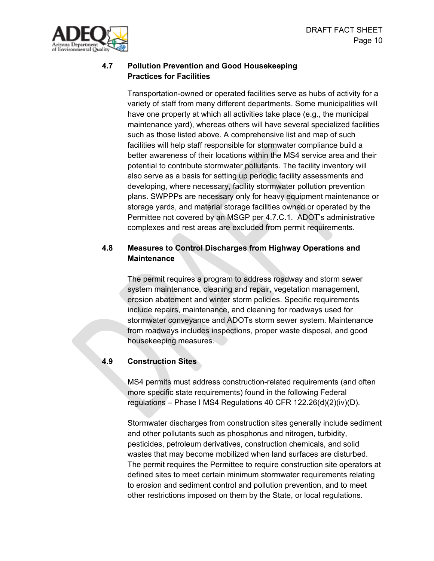

## **4.7 Pollution Prevention and Good Housekeeping Practices for Facilities**

Transportation-owned or operated facilities serve as hubs of activity for a variety of staff from many different departments. Some municipalities will have one property at which all activities take place (e.g., the municipal maintenance yard), whereas others will have several specialized facilities such as those listed above. A comprehensive list and map of such facilities will help staff responsible for stormwater compliance build a better awareness of their locations within the MS4 service area and their potential to contribute stormwater pollutants. The facility inventory will also serve as a basis for setting up periodic facility assessments and developing, where necessary, facility stormwater pollution prevention plans. SWPPPs are necessary only for heavy equipment maintenance or storage yards, and material storage facilities owned or operated by the Permittee not covered by an MSGP per 4.7.C.1. ADOT's administrative complexes and rest areas are excluded from permit requirements.

## **4.8 Measures to Control Discharges from Highway Operations and Maintenance**

The permit requires a program to address roadway and storm sewer system maintenance, cleaning and repair, vegetation management, erosion abatement and winter storm policies. Specific requirements include repairs, maintenance, and cleaning for roadways used for stormwater conveyance and ADOTs storm sewer system. Maintenance from roadways includes inspections, proper waste disposal, and good housekeeping measures.

## **4.9 Construction Sites**

MS4 permits must address construction-related requirements (and often more specific state requirements) found in the following Federal regulations – Phase I MS4 Regulations 40 CFR 122.26(d)(2)(iv)(D).

Stormwater discharges from construction sites generally include sediment and other pollutants such as phosphorus and nitrogen, turbidity, pesticides, petroleum derivatives, construction chemicals, and solid wastes that may become mobilized when land surfaces are disturbed. The permit requires the Permittee to require construction site operators at defined sites to meet certain minimum stormwater requirements relating to erosion and sediment control and pollution prevention, and to meet other restrictions imposed on them by the State, or local regulations.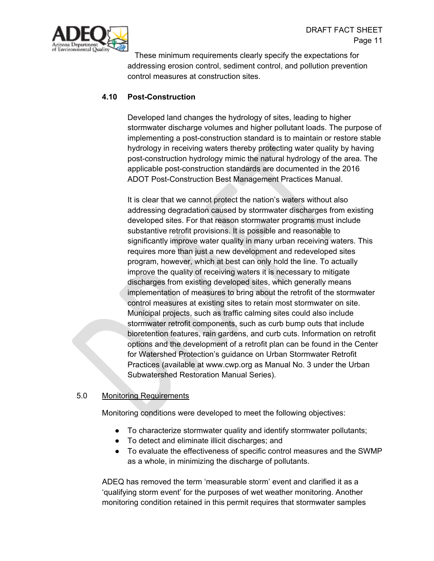

These minimum requirements clearly specify the expectations for addressing erosion control, sediment control, and pollution prevention control measures at construction sites.

#### **4.10 Post-Construction**

Developed land changes the hydrology of sites, leading to higher stormwater discharge volumes and higher pollutant loads. The purpose of implementing a post-construction standard is to maintain or restore stable hydrology in receiving waters thereby protecting water quality by having post-construction hydrology mimic the natural hydrology of the area. The applicable post-construction standards are documented in the 2016 ADOT Post-Construction Best Management Practices Manual.

It is clear that we cannot protect the nation's waters without also addressing degradation caused by stormwater discharges from existing developed sites. For that reason stormwater programs must include substantive retrofit provisions. It is possible and reasonable to significantly improve water quality in many urban receiving waters. This requires more than just a new development and redeveloped sites program, however, which at best can only hold the line. To actually improve the quality of receiving waters it is necessary to mitigate discharges from existing developed sites, which generally means implementation of measures to bring about the retrofit of the stormwater control measures at existing sites to retain most stormwater on site. Municipal projects, such as traffic calming sites could also include stormwater retrofit components, such as curb bump outs that include bioretention features, rain gardens, and curb cuts. Information on retrofit options and the development of a retrofit plan can be found in the Center for Watershed Protection's guidance on Urban Stormwater Retrofit Practices (available at www.cwp.org as Manual No. 3 under the Urban Subwatershed Restoration Manual Series).

#### 5.0 Monitoring Requirements

Monitoring conditions were developed to meet the following objectives:

- To characterize stormwater quality and identify stormwater pollutants;
- To detect and eliminate illicit discharges; and
- To evaluate the effectiveness of specific control measures and the SWMP as a whole, in minimizing the discharge of pollutants.

ADEQ has removed the term 'measurable storm' event and clarified it as a 'qualifying storm event' for the purposes of wet weather monitoring. Another monitoring condition retained in this permit requires that stormwater samples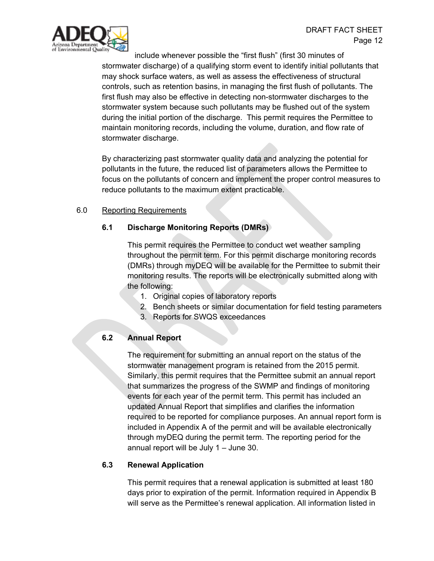

include whenever possible the "first flush" (first 30 minutes of stormwater discharge) of a qualifying storm event to identify initial pollutants that may shock surface waters, as well as assess the effectiveness of structural controls, such as retention basins, in managing the first flush of pollutants. The first flush may also be effective in detecting non-stormwater discharges to the stormwater system because such pollutants may be flushed out of the system during the initial portion of the discharge. This permit requires the Permittee to maintain monitoring records, including the volume, duration, and flow rate of stormwater discharge.

By characterizing past stormwater quality data and analyzing the potential for pollutants in the future, the reduced list of parameters allows the Permittee to focus on the pollutants of concern and implement the proper control measures to reduce pollutants to the maximum extent practicable.

#### 6.0 Reporting Requirements

#### **6.1 Discharge Monitoring Reports (DMRs)**

This permit requires the Permittee to conduct wet weather sampling throughout the permit term. For this permit discharge monitoring records (DMRs) through myDEQ will be available for the Permittee to submit their monitoring results. The reports will be electronically submitted along with the following:

- 1. Original copies of laboratory reports
- 2. Bench sheets or similar documentation for field testing parameters
- 3. Reports for SWQS exceedances

#### **6.2 Annual Report**

The requirement for submitting an annual report on the status of the stormwater management program is retained from the 2015 permit. Similarly, this permit requires that the Permittee submit an annual report that summarizes the progress of the SWMP and findings of monitoring events for each year of the permit term. This permit has included an updated Annual Report that simplifies and clarifies the information required to be reported for compliance purposes. An annual report form is included in Appendix A of the permit and will be available electronically through myDEQ during the permit term. The reporting period for the annual report will be July 1 – June 30.

#### **6.3 Renewal Application**

This permit requires that a renewal application is submitted at least 180 days prior to expiration of the permit. Information required in Appendix B will serve as the Permittee's renewal application. All information listed in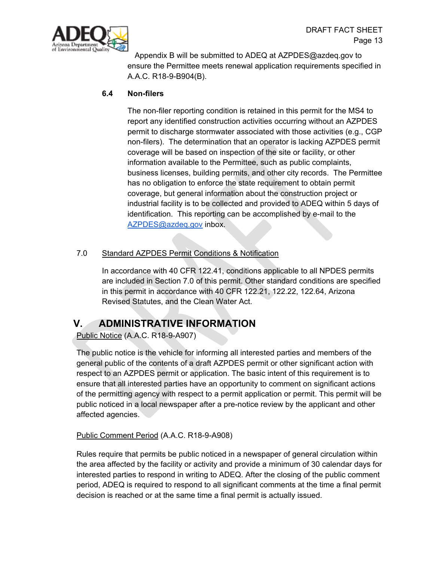

Appendix B will be submitted to ADEQ at AZPDES@azdeq.gov to ensure the Permittee meets renewal application requirements specified in A.A.C. R18-9-B904(B).

## **6.4 Non-filers**

The non-filer reporting condition is retained in this permit for the MS4 to report any identified construction activities occurring without an AZPDES permit to discharge stormwater associated with those activities (e.g., CGP non-filers). The determination that an operator is lacking AZPDES permit coverage will be based on inspection of the site or facility, or other information available to the Permittee, such as public complaints, business licenses, building permits, and other city records. The Permittee has no obligation to enforce the state requirement to obtain permit coverage, but general information about the construction project or industrial facility is to be collected and provided to ADEQ within 5 days of identification. This reporting can be accomplished by e-mail to the [AZPDES@azdeq.gov](mailto:AZPDES@azdeq.gov) inbox.

## 7.0 Standard AZPDES Permit Conditions & Notification

In accordance with 40 CFR 122.41, conditions applicable to all NPDES permits are included in Section 7.0 of this permit. Other standard conditions are specified in this permit in accordance with 40 CFR 122.21, 122.22, 122.64, Arizona Revised Statutes, and the Clean Water Act.

# **V. ADMINISTRATIVE INFORMATION**

Public Notice (A.A.C. R18-9-A907)

The public notice is the vehicle for informing all interested parties and members of the general public of the contents of a draft AZPDES permit or other significant action with respect to an AZPDES permit or application. The basic intent of this requirement is to ensure that all interested parties have an opportunity to comment on significant actions of the permitting agency with respect to a permit application or permit. This permit will be public noticed in a local newspaper after a pre-notice review by the applicant and other affected agencies.

#### Public Comment Period (A.A.C. R18-9-A908)

Rules require that permits be public noticed in a newspaper of general circulation within the area affected by the facility or activity and provide a minimum of 30 calendar days for interested parties to respond in writing to ADEQ. After the closing of the public comment period, ADEQ is required to respond to all significant comments at the time a final permit decision is reached or at the same time a final permit is actually issued.